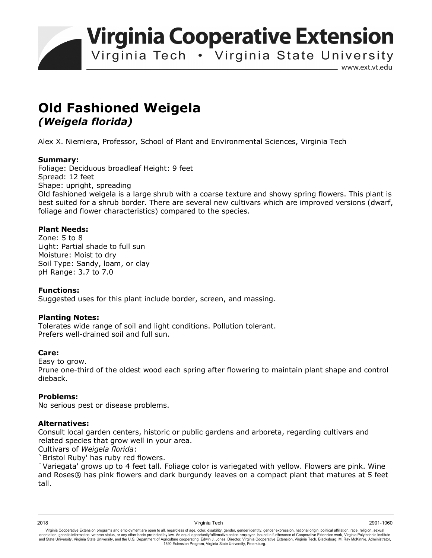**Virginia Cooperative Extension** 

Virginia Tech • Virginia State University

www.ext.vt.edu

# **Old Fashioned Weigela**  *(Weigela florida)*

Alex X. Niemiera, Professor, School of Plant and Environmental Sciences, Virginia Tech

#### **Summary:**

Foliage: Deciduous broadleaf Height: 9 feet Spread: 12 feet Shape: upright, spreading Old fashioned weigela is a large shrub with a coarse texture and showy spring flowers. This plant is best suited for a shrub border. There are several new cultivars which are improved versions (dwarf, foliage and flower characteristics) compared to the species.

### **Plant Needs:**

Zone: 5 to 8 Light: Partial shade to full sun Moisture: Moist to dry Soil Type: Sandy, loam, or clay pH Range: 3.7 to 7.0

#### **Functions:**

Suggested uses for this plant include border, screen, and massing.

#### **Planting Notes:**

Tolerates wide range of soil and light conditions. Pollution tolerant. Prefers well-drained soil and full sun.

#### **Care:**

dieback.

Easy to grow. Prune one-third of the oldest wood each spring after flowering to maintain plant shape and control

#### **Problems:**

No serious pest or disease problems.

## **Alternatives:**

Consult local garden centers, historic or public gardens and arboreta, regarding cultivars and related species that grow well in your area.

Cultivars of *Weigela florida*:

`Bristol Ruby' has ruby red flowers.

`Variegata' grows up to 4 feet tall. Foliage color is variegated with yellow. Flowers are pink. Wine and Roses® has pink flowers and dark burgundy leaves on a compact plant that matures at 5 feet tall.